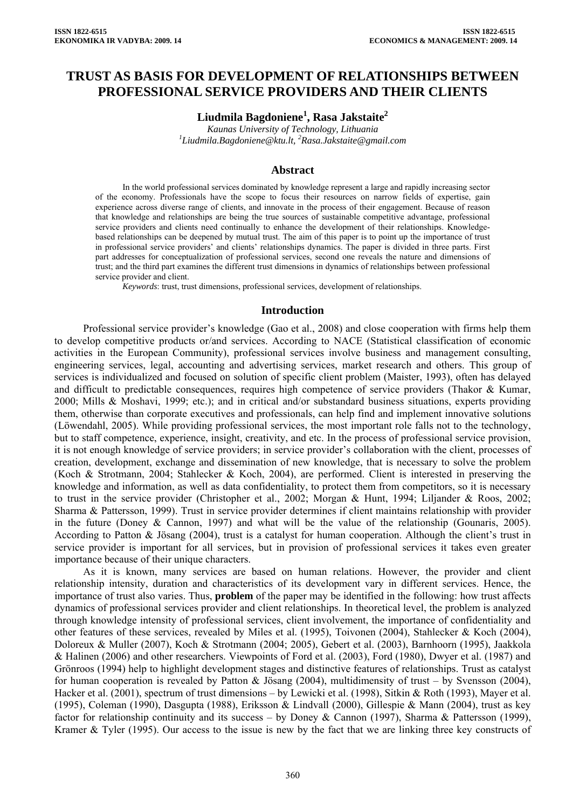# **TRUST AS BASIS FOR DEVELOPMENT OF RELATIONSHIPS BETWEEN PROFESSIONAL SERVICE PROVIDERS AND THEIR CLIENTS**

# **Liudmila Bagdoniene<sup>1</sup> , Rasa Jakstaite2**

*Kaunas University of Technology, Lithuania 1 Liudmila.Bagdoniene@ktu.lt, <sup>2</sup> Rasa.Jakstaite@gmail.com* 

### **Abstract**

In the world professional services dominated by knowledge represent a large and rapidly increasing sector of the economy. Professionals have the scope to focus their resources on narrow fields of expertise, gain experience across diverse range of clients, and innovate in the process of their engagement. Because of reason that knowledge and relationships are being the true sources of sustainable competitive advantage, professional service providers and clients need continually to enhance the development of their relationships. Knowledgebased relationships can be deepened by mutual trust. The aim of this paper is to point up the importance of trust in professional service providers' and clients' relationships dynamics. The paper is divided in three parts. First part addresses for conceptualization of professional services, second one reveals the nature and dimensions of trust; and the third part examines the different trust dimensions in dynamics of relationships between professional service provider and client.

*Keywords*: trust, trust dimensions, professional services, development of relationships.

#### **Introduction**

Professional service provider's knowledge (Gao et al., 2008) and close cooperation with firms help them to develop competitive products or/and services. According to NACE (Statistical classification of economic activities in the European Community), professional services involve business and management consulting, engineering services, legal, accounting and advertising services, market research and others. This group of services is individualized and focused on solution of specific client problem (Maister, 1993), often has delayed and difficult to predictable consequences, requires high competence of service providers (Thakor & Kumar, 2000; Mills & Moshavi, 1999; etc.); and in critical and/or substandard business situations, experts providing them, otherwise than corporate executives and professionals, can help find and implement innovative solutions (Löwendahl, 2005). While providing professional services, the most important role falls not to the technology, but to staff competence, experience, insight, creativity, and etc. In the process of professional service provision, it is not enough knowledge of service providers; in service provider's collaboration with the client, processes of creation, development, exchange and dissemination of new knowledge, that is necessary to solve the problem (Koch & Strotmann, 2004; Stahlecker & Koch, 2004), are performed. Client is interested in preserving the knowledge and information, as well as data confidentiality, to protect them from competitors, so it is necessary to trust in the service provider (Christopher et al., 2002; Morgan & Hunt, 1994; Liljander & Roos, 2002; Sharma & Pattersson, 1999). Trust in service provider determines if client maintains relationship with provider in the future (Doney & Cannon, 1997) and what will be the value of the relationship (Gounaris, 2005). According to Patton & Jösang (2004), trust is a catalyst for human cooperation. Although the client's trust in service provider is important for all services, but in provision of professional services it takes even greater importance because of their unique characters.

As it is known, many services are based on human relations. However, the provider and client relationship intensity, duration and characteristics of its development vary in different services. Hence, the importance of trust also varies. Thus, **problem** of the paper may be identified in the following: how trust affects dynamics of professional services provider and client relationships. In theoretical level, the problem is analyzed through knowledge intensity of professional services, client involvement, the importance of confidentiality and other features of these services, revealed by Miles et al. (1995), Toivonen (2004), Stahlecker & Koch (2004), Doloreux & Muller (2007), Koch & Strotmann (2004; 2005), Gebert et al. (2003), Barnhoorn (1995), Jaakkola & Halinen (2006) and other researchers. Viewpoints of Ford et al. (2003), Ford (1980), Dwyer et al. (1987) and Grönroos (1994) help to highlight development stages and distinctive features of relationships. Trust as catalyst for human cooperation is revealed by Patton & Jösang (2004), multidimensity of trust – by Svensson (2004), Hacker et al. (2001), spectrum of trust dimensions – by Lewicki et al. (1998), Sitkin & Roth (1993), Mayer et al. (1995), Coleman (1990), Dasgupta (1988), Eriksson & Lindvall (2000), Gillespie & Mann (2004), trust as key factor for relationship continuity and its success – by Doney & Cannon (1997), Sharma & Pattersson (1999), Kramer & Tyler (1995). Our access to the issue is new by the fact that we are linking three key constructs of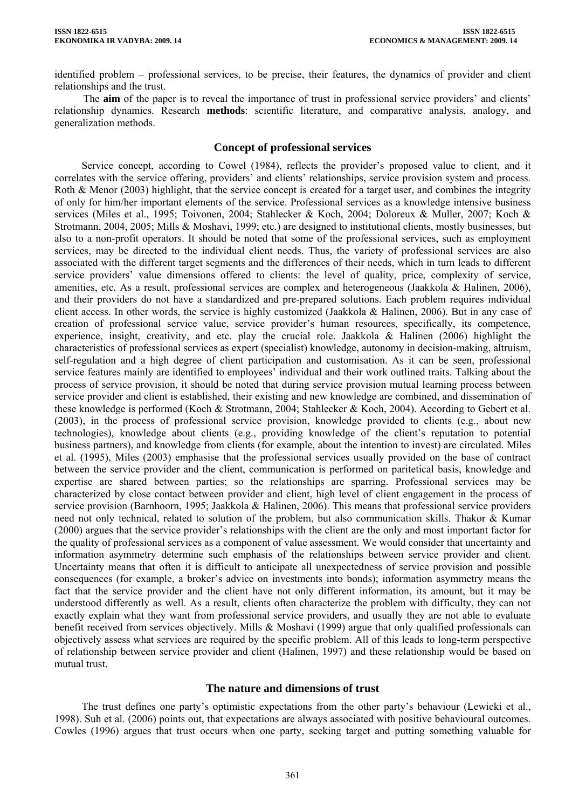identified problem – professional services, to be precise, their features, the dynamics of provider and client relationships and the trust.

The **aim** of the paper is to reveal the importance of trust in professional service providers' and clients' relationship dynamics. Research **methods**: scientific literature, and comparative analysis, analogy, and generalization methods.

### **Concept of professional services**

Service concept, according to Cowel (1984), reflects the provider's proposed value to client, and it correlates with the service offering, providers' and clients' relationships, service provision system and process. Roth & Menor (2003) highlight, that the service concept is created for a target user, and combines the integrity of only for him/her important elements of the service. Professional services as a knowledge intensive business services (Miles et al., 1995; Toivonen, 2004; Stahlecker & Koch, 2004; Doloreux & Muller, 2007; Koch & Strotmann, 2004, 2005; Mills & Moshavi, 1999; etc.) are designed to institutional clients, mostly businesses, but also to a non-profit operators. It should be noted that some of the professional services, such as employment services, may be directed to the individual client needs. Thus, the variety of professional services are also associated with the different target segments and the differences of their needs, which in turn leads to different service providers' value dimensions offered to clients: the level of quality, price, complexity of service, amenities, etc. As a result, professional services are complex and heterogeneous (Jaakkola & Halinen, 2006), and their providers do not have a standardized and pre-prepared solutions. Each problem requires individual client access. In other words, the service is highly customized (Jaakkola & Halinen, 2006). But in any case of creation of professional service value, service provider's human resources, specifically, its competence, experience, insight, creativity, and etc. play the crucial role. Jaakkola & Halinen (2006) highlight the characteristics of professional services as expert (specialist) knowledge, autonomy in decision-making, altruism, self-regulation and a high degree of client participation and customisation. As it can be seen, professional service features mainly are identified to employees' individual and their work outlined traits. Talking about the process of service provision, it should be noted that during service provision mutual learning process between service provider and client is established, their existing and new knowledge are combined, and dissemination of these knowledge is performed (Koch & Strotmann, 2004; Stahlecker & Koch, 2004). According to Gebert et al. (2003), in the process of professional service provision, knowledge provided to clients (e.g., about new technologies), knowledge about clients (e.g., providing knowledge of the client's reputation to potential business partners), and knowledge from clients (for example, about the intention to invest) are circulated. Miles et al. (1995), Miles (2003) emphasise that the professional services usually provided on the base of contract between the service provider and the client, communication is performed on paritetical basis, knowledge and expertise are shared between parties; so the relationships are sparring. Professional services may be characterized by close contact between provider and client, high level of client engagement in the process of service provision (Barnhoorn, 1995; Jaakkola & Halinen, 2006). This means that professional service providers need not only technical, related to solution of the problem, but also communication skills. Thakor & Kumar (2000) argues that the service provider's relationships with the client are the only and most important factor for the quality of professional services as a component of value assessment. We would consider that uncertainty and information asymmetry determine such emphasis of the relationships between service provider and client. Uncertainty means that often it is difficult to anticipate all unexpectedness of service provision and possible consequences (for example, a broker's advice on investments into bonds); information asymmetry means the fact that the service provider and the client have not only different information, its amount, but it may be understood differently as well. As a result, clients often characterize the problem with difficulty, they can not exactly explain what they want from professional service providers, and usually they are not able to evaluate benefit received from services objectively. Mills & Moshavi (1999) argue that only qualified professionals can objectively assess what services are required by the specific problem. All of this leads to long-term perspective of relationship between service provider and client (Halinen, 1997) and these relationship would be based on mutual trust.

### **The nature and dimensions of trust**

The trust defines one party's optimistic expectations from the other party's behaviour (Lewicki et al., 1998). Suh et al. (2006) points out, that expectations are always associated with positive behavioural outcomes. Cowles (1996) argues that trust occurs when one party, seeking target and putting something valuable for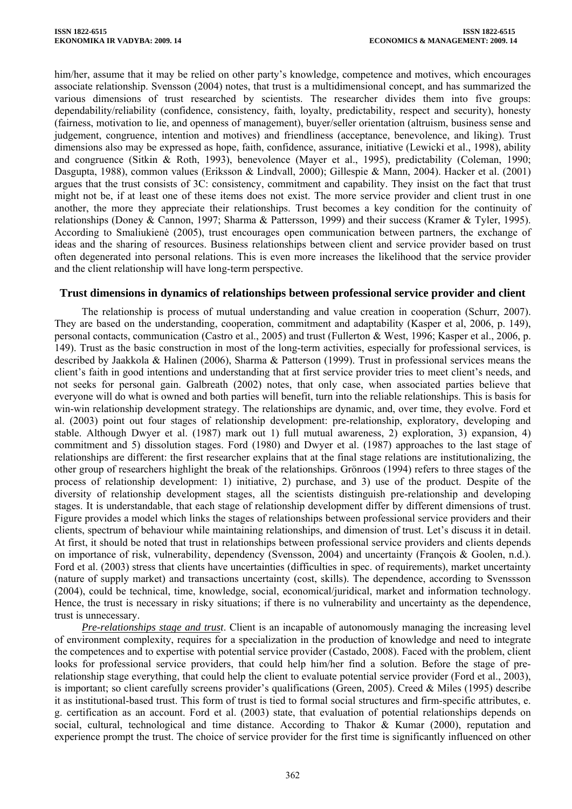him/her, assume that it may be relied on other party's knowledge, competence and motives, which encourages associate relationship. Svensson (2004) notes, that trust is a multidimensional concept, and has summarized the various dimensions of trust researched by scientists. The researcher divides them into five groups: dependability/reliability (confidence, consistency, faith, loyalty, predictability, respect and security), honesty (fairness, motivation to lie, and openness of management), buyer/seller orientation (altruism, business sense and judgement, congruence, intention and motives) and friendliness (acceptance, benevolence, and liking). Trust dimensions also may be expressed as hope, faith, confidence, assurance, initiative (Lewicki et al., 1998), ability and congruence (Sitkin & Roth, 1993), benevolence (Mayer et al., 1995), predictability (Coleman, 1990; Dasgupta, 1988), common values (Eriksson & Lindvall, 2000); Gillespie & Mann, 2004). Hacker et al. (2001) argues that the trust consists of 3C: consistency, commitment and capability. They insist on the fact that trust might not be, if at least one of these items does not exist. The more service provider and client trust in one another, the more they appreciate their relationships. Trust becomes a key condition for the continuity of relationships (Doney & Cannon, 1997; Sharma & Pattersson, 1999) and their success (Kramer & Tyler, 1995). According to Smaliukienė (2005), trust encourages open communication between partners, the exchange of ideas and the sharing of resources. Business relationships between client and service provider based on trust often degenerated into personal relations. This is even more increases the likelihood that the service provider and the client relationship will have long-term perspective.

## **Trust dimensions in dynamics of relationships between professional service provider and client**

The relationship is process of mutual understanding and value creation in cooperation (Schurr, 2007). They are based on the understanding, cooperation, commitment and adaptability (Kasper et al, 2006, p. 149), personal contacts, communication (Castro et al., 2005) and trust (Fullerton & West, 1996; Kasper et al., 2006, p. 149). Trust as the basic construction in most of the long-term activities, especially for professional services, is described by Jaakkola & Halinen (2006), Sharma & Patterson (1999). Trust in professional services means the client's faith in good intentions and understanding that at first service provider tries to meet client's needs, and not seeks for personal gain. Galbreath (2002) notes, that only case, when associated parties believe that everyone will do what is owned and both parties will benefit, turn into the reliable relationships. This is basis for win-win relationship development strategy. The relationships are dynamic, and, over time, they evolve. Ford et al. (2003) point out four stages of relationship development: pre-relationship, exploratory, developing and stable. Although Dwyer et al. (1987) mark out 1) full mutual awareness, 2) exploration, 3) expansion, 4) commitment and 5) dissolution stages. Ford (1980) and Dwyer et al. (1987) approaches to the last stage of relationships are different: the first researcher explains that at the final stage relations are institutionalizing, the other group of researchers highlight the break of the relationships. Grönroos (1994) refers to three stages of the process of relationship development: 1) initiative, 2) purchase, and 3) use of the product. Despite of the diversity of relationship development stages, all the scientists distinguish pre-relationship and developing stages. It is understandable, that each stage of relationship development differ by different dimensions of trust. Figure provides a model which links the stages of relationships between professional service providers and their clients, spectrum of behaviour while maintaining relationships, and dimension of trust. Let's discuss it in detail. At first, it should be noted that trust in relationships between professional service providers and clients depends on importance of risk, vulnerability, dependency (Svensson, 2004) and uncertainty (François & Goolen, n.d.). Ford et al. (2003) stress that clients have uncertainties (difficulties in spec. of requirements), market uncertainty (nature of supply market) and transactions uncertainty (cost, skills). The dependence, according to Svenssson (2004), could be technical, time, knowledge, social, economical/juridical, market and information technology. Hence, the trust is necessary in risky situations; if there is no vulnerability and uncertainty as the dependence, trust is unnecessary.

*Pre-relationships stage and trust*. Client is an incapable of autonomously managing the increasing level of environment complexity, requires for a specialization in the production of knowledge and need to integrate the competences and to expertise with potential service provider (Castado, 2008). Faced with the problem, client looks for professional service providers, that could help him/her find a solution. Before the stage of prerelationship stage everything, that could help the client to evaluate potential service provider (Ford et al., 2003), is important; so client carefully screens provider's qualifications (Green, 2005). Creed & Miles (1995) describe it as institutional-based trust. This form of trust is tied to formal social structures and firm-specific attributes, e. g. certification as an account. Ford et al. (2003) state, that evaluation of potential relationships depends on social, cultural, technological and time distance. According to Thakor & Kumar (2000), reputation and experience prompt the trust. The choice of service provider for the first time is significantly influenced on other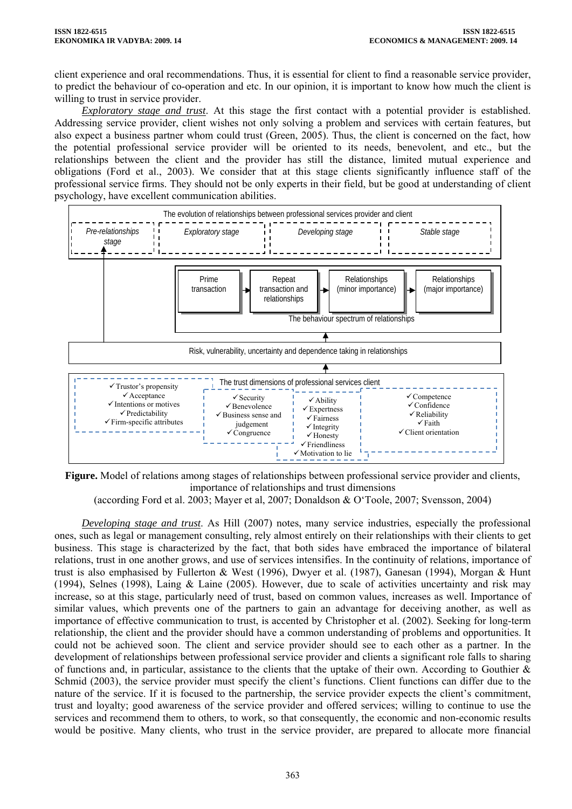client experience and oral recommendations. Thus, it is essential for client to find a reasonable service provider, to predict the behaviour of co-operation and etc. In our opinion, it is important to know how much the client is willing to trust in service provider.

*Exploratory stage and trust*. At this stage the first contact with a potential provider is established. Addressing service provider, client wishes not only solving a problem and services with certain features, but also expect a business partner whom could trust (Green, 2005). Thus, the client is concerned on the fact, how the potential professional service provider will be oriented to its needs, benevolent, and etc., but the relationships between the client and the provider has still the distance, limited mutual experience and obligations (Ford et al., 2003). We consider that at this stage clients significantly influence staff of the professional service firms. They should not be only experts in their field, but be good at understanding of client psychology, have excellent communication abilities.



**Figure.** Model of relations among stages of relationships between professional service provider and clients, importance of relationships and trust dimensions

(according Ford et al. 2003; Mayer et al, 2007; Donaldson & O'Toole, 2007; Svensson, 2004)

*Developing stage and trust*. As Hill (2007) notes, many service industries, especially the professional ones, such as legal or management consulting, rely almost entirely on their relationships with their clients to get business. This stage is characterized by the fact, that both sides have embraced the importance of bilateral relations, trust in one another grows, and use of services intensifies. In the continuity of relations, importance of trust is also emphasised by Fullerton & West (1996), Dwyer et al. (1987), Ganesan (1994), Morgan & Hunt (1994), Selnes (1998), Laing & Laine (2005). However, due to scale of activities uncertainty and risk may increase, so at this stage, particularly need of trust, based on common values, increases as well. Importance of similar values, which prevents one of the partners to gain an advantage for deceiving another, as well as importance of effective communication to trust, is accented by Christopher et al. (2002). Seeking for long-term relationship, the client and the provider should have a common understanding of problems and opportunities. It could not be achieved soon. The client and service provider should see to each other as a partner. In the development of relationships between professional service provider and clients a significant role falls to sharing of functions and, in particular, assistance to the clients that the uptake of their own. According to Gouthier  $\&$ Schmid (2003), the service provider must specify the client's functions. Client functions can differ due to the nature of the service. If it is focused to the partnership, the service provider expects the client's commitment, trust and loyalty; good awareness of the service provider and offered services; willing to continue to use the services and recommend them to others, to work, so that consequently, the economic and non-economic results would be positive. Many clients, who trust in the service provider, are prepared to allocate more financial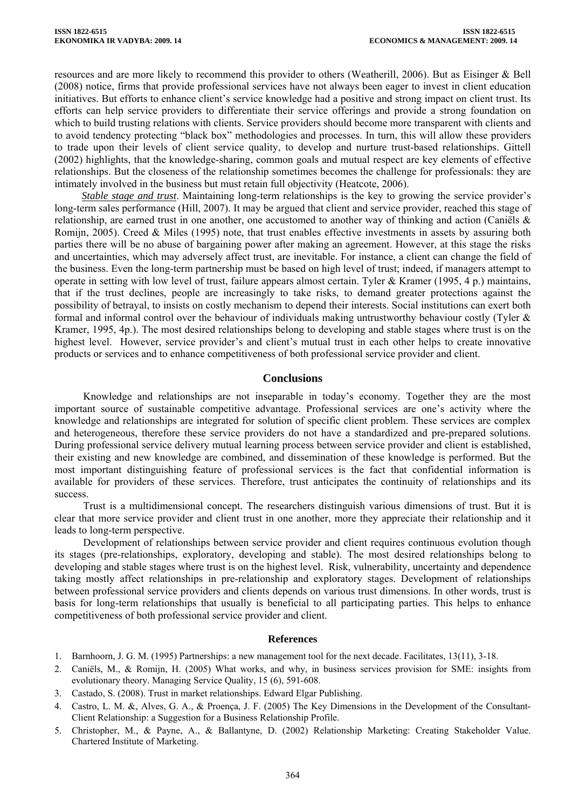resources and are more likely to recommend this provider to others (Weatherill, 2006). But as Eisinger & Bell (2008) notice, firms that provide professional services have not always been eager to invest in client education initiatives. But efforts to enhance client's service knowledge had a positive and strong impact on client trust. Its efforts can help service providers to differentiate their service offerings and provide a strong foundation on which to build trusting relations with clients. Service providers should become more transparent with clients and to avoid tendency protecting "black box" methodologies and processes. In turn, this will allow these providers to trade upon their levels of client service quality, to develop and nurture trust-based relationships. Gittell (2002) highlights, that the knowledge-sharing, common goals and mutual respect are key elements of effective relationships. But the closeness of the relationship sometimes becomes the challenge for professionals: they are intimately involved in the business but must retain full objectivity (Heatcote, 2006).

*Stable stage and trust*. Maintaining long-term relationships is the key to growing the service provider's long-term sales performance (Hill, 2007). It may be argued that client and service provider, reached this stage of relationship, are earned trust in one another, one accustomed to another way of thinking and action (Caniëls & Romijn, 2005). Creed & Miles (1995) note, that trust enables effective investments in assets by assuring both parties there will be no abuse of bargaining power after making an agreement. However, at this stage the risks and uncertainties, which may adversely affect trust, are inevitable. For instance, a client can change the field of the business. Even the long-term partnership must be based on high level of trust; indeed, if managers attempt to operate in setting with low level of trust, failure appears almost certain. Tyler & Kramer (1995, 4 p.) maintains, that if the trust declines, people are increasingly to take risks, to demand greater protections against the possibility of betrayal, to insists on costly mechanism to depend their interests. Social institutions can exert both formal and informal control over the behaviour of individuals making untrustworthy behaviour costly (Tyler & Kramer, 1995, 4p.). The most desired relationships belong to developing and stable stages where trust is on the highest level. However, service provider's and client's mutual trust in each other helps to create innovative products or services and to enhance competitiveness of both professional service provider and client.

### **Conclusions**

Knowledge and relationships are not inseparable in today's economy. Together they are the most important source of sustainable competitive advantage. Professional services are one's activity where the knowledge and relationships are integrated for solution of specific client problem. These services are complex and heterogeneous, therefore these service providers do not have a standardized and pre-prepared solutions. During professional service delivery mutual learning process between service provider and client is established, their existing and new knowledge are combined, and dissemination of these knowledge is performed. But the most important distinguishing feature of professional services is the fact that confidential information is available for providers of these services. Therefore, trust anticipates the continuity of relationships and its success.

Trust is a multidimensional concept. The researchers distinguish various dimensions of trust. But it is clear that more service provider and client trust in one another, more they appreciate their relationship and it leads to long-term perspective.

Development of relationships between service provider and client requires continuous evolution though its stages (pre-relationships, exploratory, developing and stable). The most desired relationships belong to developing and stable stages where trust is on the highest level. Risk, vulnerability, uncertainty and dependence taking mostly affect relationships in pre-relationship and exploratory stages. Development of relationships between professional service providers and clients depends on various trust dimensions. In other words, trust is basis for long-term relationships that usually is beneficial to all participating parties. This helps to enhance competitiveness of both professional service provider and client.

#### **References**

- 1. Barnhoorn, J. G. M. (1995) Partnerships: a new management tool for the next decade. Facilitates, 13(11), 3-18.
- 2. Caniëls, M., & Romijn, H. (2005) What works, and why, in business services provision for SME: insights from evolutionary theory. Managing Service Quality, 15 (6), 591-608.
- 3. Castado, S. (2008). Trust in market relationships. Edward Elgar Publishing.
- 4. Castro, L. M. &, Alves, G. A., & Proença, J. F. (2005) The Key Dimensions in the Development of the Consultant-Client Relationship: a Suggestion for a Business Relationship Profile.
- 5. Christopher, M., & Payne, A., & Ballantyne, D. (2002) Relationship Marketing: Creating Stakeholder Value. Chartered Institute of Marketing.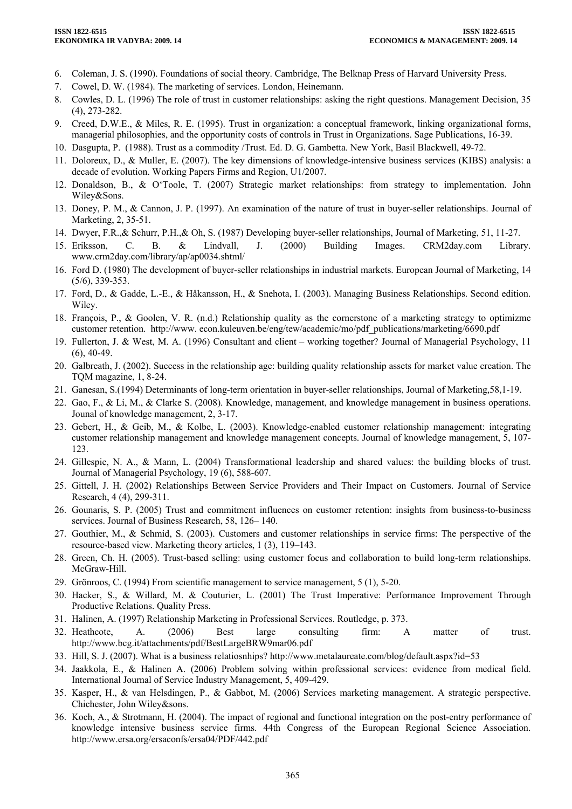- 6. Coleman, J. S. (1990). Foundations of social theory. Cambridge, The Belknap Press of Harvard University Press.
- 7. Cowel, D. W. (1984). The marketing of services. London, Heinemann.
- 8. Cowles, D. L. (1996) The role of trust in customer relationships: asking the right questions. [Management Decision](http://www.emeraldinsight.com/0025-1747.htm), 35 (4), 273-282.
- 9. Creed, D.W.E., & Miles, R. E. (1995). Trust in organization: a conceptual framework, linking organizational forms, managerial philosophies, and the opportunity costs of controls in Trust in Organizations. Sage Publications, 16-39.
- 10. Dasgupta, P. (1988). Trust as a commodity /Trust. Ed. D. G. Gambetta. New York, Basil Blackwell, 49-72.
- 11. Doloreux, D., & Muller, E. (2007). The key dimensions of knowledge-intensive business services (KIBS) analysis: a decade of evolution. Working Papers Firms and Region, U1/2007.
- 12. Donaldson, B., & O'Toole, T. (2007) [Strategic market relationships: from strategy to implementation](http://books.google.com/books?hl=en&lr=&id=5a5Lt9pfs8YC&oi=fnd&pg=PR13&dq=relationship+Donaldson&ots=MRQWmcOJ_b&sig=XSEtJ7NAiZS2Y1uCd9vFMnH6XNg). John Wiley&Sons.
- 13. Doney, P. M., & Cannon, J. P. (1997). An examination of the nature of trust in buyer-seller relationships. Journal of Marketing, 2, 35-51.
- 14. Dwyer, F.R.,& Schurr, P.H.,& Oh, S. (1987) Developing buyer-seller relationships, Journal of Marketing, 51, 11-27.
- 15. Eriksson, C. B. & Lindvall, J. (2000) Building Images. CRM2day.com Library. www.crm2day.com/library/ap/ap0034.shtml/
- 16. Ford D. (1980) [The development of buyer-seller relationships in industrial markets](http://www.emeraldinsight.com/Insight/viewContentItem.do?contentType=Article&hdAction=lnkpdf&contentId=852771&history=true&StyleSheetView=Text). European Journal of Marketing, 14 (5/6), 339-353.
- 17. Ford, D., & Gadde, L.-E., & Håkansson, H., & Snehota, I. (2003). Managing Business Relationships. Second edition. Wiley.
- 18. François, P., & Goolen, V. R. (n.d.) Relationship quality as the cornerstone of a marketing strategy to optimizme customer retention. http://www. econ.kuleuven.be/eng/tew/academic/mo/pdf\_publications/marketing/6690.pdf
- 19. Fullerton, J. & West, M. A. (1996) Consultant and client working together? Journal of Managerial Psychology, 11  $(6)$ , 40-49.
- 20. Galbreath, J. (2002). Success in the relationship age: building quality relationship assets for market value creation. The TQM magazine, 1, 8-24.
- 21. Ganesan, S.(1994) Determinants of long-term orientation in buyer-seller relationships, Journal of Marketing,58,1-19.
- 22. Gao, F., & Li, M., & Clarke S. (2008). Knowledge, management, and knowledge management in business operations. Jounal of knowledge management, 2, 3-17.
- 23. Gebert, H., & Geib, M., & Kolbe, L. (2003). Knowledge-enabled customer relationship management: integrating customer relationship management and knowledge management concepts. Journal of knowledge management, 5, 107- 123.
- 24. Gillespie, N. A., & Mann, L. (2004) Transformational leadership and shared values: the building blocks of trust. Journal of Managerial Psychology, 19 (6), 588-607.
- 25. Gittell, J. H. (2002) Relationships Between Service Providers and Their Impact on Customers. Journal of Service Research, 4 (4), 299-311.
- 26. Gounaris, S. P. (2005) Trust and commitment influences on customer retention: insights from business-to-business services. Journal of Business Research, 58, 126– 140.
- 27. Gouthier, M., & Schmid, S. (2003). Customers and customer relationships in service firms: The perspective of the resource-based view. Marketing theory articles, 1 (3), 119–143.
- 28. Green, Ch. H. (2005). Trust-based selling: using customer focus and collaboration to build long-term relationships. McGraw-Hill.
- 29. Grönroos, C. (1994) [From scientific management to service management](http://www.emeraldinsight.com/Insight/viewContentItem.do?contentType=Article&hdAction=lnkhtml&contentId=851543&dType=SUB&history=false), 5 (1), 5-20.
- 30. Hacker, S., & Willard, M. & Couturier, L. (2001) The Trust Imperative: Performance Improvement Through Productive Relations. Quality Press.
- 31. Halinen, A. (1997) Relationship Marketing in Professional Services. Routledge, p. 373.
- 32. Heathcote, A. (2006) Best large consulting firm: A matter of trust. <http://www.bcg.it/attachments/pdf/BestLargeBRW9mar06.pdf>
- 33. Hill, S. J. (2007). What is a business relatiosnhips? http://www.metalaureate.com/blog/default.aspx?id=53
- 34. Jaakkola, E., & Halinen A. (2006) Problem solving within professional services: evidence from medical field. International Journal of Service Industry Management, 5, 409-429.
- 35. Kasper, H., & van Helsdingen, P., & Gabbot, M. (2006) Services marketing management. A strategic perspective. Chichester, John Wiley&sons.
- 36. Koch, A., & Strotmann, H. (2004). The impact of regional and functional integration on the post-entry performance of knowledge intensive business service firms. 44th Congress of the European Regional Science Association. http://www.ersa.org/ersaconfs/ersa04/PDF/442.pdf